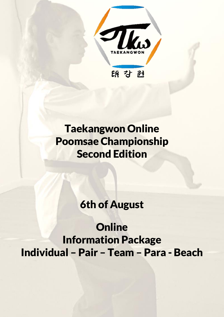

# Taekangwon Online Poomsae Championship Second Edition

## 6th of August

**Online** Information Package Individual – Pair – Team – Para - Beach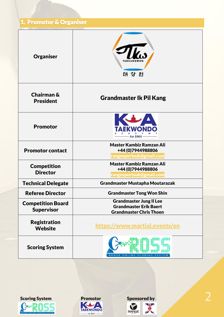## 1. Promotor & Organiser

| <b>Organiser</b>                              | 睨 강 匙                                                                                             |  |  |  |  |
|-----------------------------------------------|---------------------------------------------------------------------------------------------------|--|--|--|--|
| Chairman &<br><b>President</b>                | <b>Grandmaster Ik Pil Kang</b>                                                                    |  |  |  |  |
| <b>Promotor</b>                               |                                                                                                   |  |  |  |  |
| <b>Promotor contact</b>                       | <b>Master Kambiz Ramzan Ali</b><br>+44 (0) 7944988806<br>rangesportsuk@gmail.com                  |  |  |  |  |
| <b>Competition</b><br><b>Director</b>         | <b>Master Kambiz Ramzan Ali</b><br>+44 (0) 7944988806<br>rangesportsuk@gmail.com                  |  |  |  |  |
| <b>Technical Delegate</b>                     | <b>Grandmaster Mustapha Moutarazak</b>                                                            |  |  |  |  |
| <b>Referee Director</b>                       | <b>Grandmaster Tong Won Shin</b>                                                                  |  |  |  |  |
| <b>Competition Board</b><br><b>Supervisor</b> | <b>Grandmaster Jung II Lee</b><br><b>Grandmaster Erik Baert</b><br><b>Grandmaster Chris Thoen</b> |  |  |  |  |
| <b>Registration</b><br><b>Website</b>         | https://www.martial.events/en                                                                     |  |  |  |  |
| <b>Scoring System</b>                         | RANGE<br>ONLINE<br>SCORI<br>N G                                                                   |  |  |  |  |





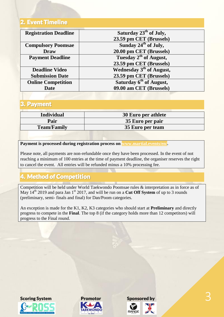### 2. Event Timeline

| <b>Registration Deadline</b> | Saturday 23 <sup>th</sup> of July,   |  |  |
|------------------------------|--------------------------------------|--|--|
|                              | 23.59 pm CET (Brussels)              |  |  |
| <b>Compulsory Poomsae</b>    | Sunday $24^{\text{th}}$ of July,     |  |  |
| <b>Draw</b>                  | 20.00 pm CET (Brussels)              |  |  |
| <b>Payment Deadline</b>      | Tuesday 2 <sup>th</sup> of August,   |  |  |
|                              | 23.59 pm CET (Brussels)              |  |  |
| <b>Deadline Video</b>        | Wednesday 3 <sup>th</sup> of August, |  |  |
| <b>Submission Date</b>       | 23.59 pm CET (Brussels)              |  |  |
| <b>Online Competition</b>    | Saturday 6 <sup>th</sup> of August,  |  |  |
| Date                         | 09.00 am CET (Brussels)              |  |  |

### 3. Payment

| <b>Individual</b>  | 30 Euro per athlete |
|--------------------|---------------------|
| Pair               | 35 Euro per pair    |
| <b>Team/Family</b> | 35 Euro per team    |

#### **Payment is processed during registration process on [www.martial.events/en/.](http://www.martial.events/en/)**

Please note, all payments are non-refundable once they have been processed. In the event of not reaching a minimum of 100 entries at the time of payment deadline, the organiser reserves the right to cancel the event. All entries will be refunded minus a 10% processing fee.

### 4. Method of Competition

Competition will be held under World Taekwondo Poomsae rules & interpretation as in force as of May 14<sup>th</sup> 2019 and para Jan 1<sup>st</sup> 2017, and will be run on a **Cut Off System** of up to 3 rounds (preliminary, semi- finals and final) for Dan/Poom categories.

An exception is made for the K1, K2, K3 categories who should start at **Preliminary** and directly progress to compete in the **Final**. The top 8 (if the category holds more than 12 competitors) will progress to the Final round.





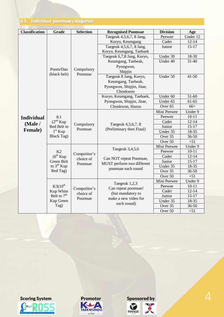### 4.1 Individual poomsae categories

| <b>Classification</b>     | Grade                                                           | <b>Selection</b>                     | <b>Recognised Poomsae</b>                                                                        | <b>Division</b>    | Age       |
|---------------------------|-----------------------------------------------------------------|--------------------------------------|--------------------------------------------------------------------------------------------------|--------------------|-----------|
|                           |                                                                 |                                      | Taegeuk 4,5,6,7, 8 Jang,                                                                         | Peewee             | Under 12  |
|                           |                                                                 |                                      | Koryo, Keumgang                                                                                  | Cadet              | $12 - 14$ |
|                           |                                                                 |                                      | Taegeuk 4,5,6,7, 8 Jang,                                                                         | Junior             | $15-17$   |
|                           |                                                                 | Compulsory<br>Poomsae                | Koryo, Keumgang, Taebaek                                                                         |                    |           |
|                           |                                                                 |                                      | Taegeuk 6,7,8 Jang, Koryo,                                                                       | Under 30           | 18-30     |
|                           |                                                                 |                                      | Keumgang, Taebeak,                                                                               | Under 40           | $31 - 40$ |
|                           | Poom/Dan                                                        |                                      | Pyongwon,                                                                                        |                    |           |
|                           | (black belt)                                                    |                                      | Shipjin                                                                                          |                    |           |
|                           |                                                                 |                                      | Taegeuk 8 Jang, Koryo,                                                                           | Under 50           | $41 - 50$ |
|                           |                                                                 |                                      | Keumgang, Taebeak,                                                                               |                    |           |
|                           |                                                                 |                                      | Pyongwon, Shipjin, Jitae,                                                                        |                    |           |
|                           |                                                                 |                                      | Chonkwon                                                                                         |                    |           |
|                           |                                                                 |                                      | Koryo, Keumgang, Taebaek,                                                                        | Under 60           | 51-60     |
|                           |                                                                 |                                      | Pyongwon, Shipjin, Jitae,                                                                        | Under 65           | $61-65$   |
|                           |                                                                 |                                      | Chonkwon, Hansu                                                                                  | Over <sub>65</sub> | $66+$     |
|                           |                                                                 | Compulsory<br>Poomsae                |                                                                                                  | Mini Peewee        | Under 9   |
| <b>Individual</b>         | K1                                                              |                                      | Taegeuk 4,5,6,7, 8<br>(Preliminary then Final)                                                   | Peewee             | $10 - 11$ |
| (Male/<br><b>Female</b> ) | $(2^{nd}$ Kup<br>Red Belt to<br>$1st$ Kup<br><b>Black Tag)</b>  |                                      |                                                                                                  | Cadet              | $12 - 14$ |
|                           |                                                                 |                                      |                                                                                                  | Junior             | $15 - 17$ |
|                           |                                                                 |                                      |                                                                                                  | Under 35           | 18-35     |
|                           |                                                                 |                                      |                                                                                                  | Over 35            | 36-50     |
|                           |                                                                 |                                      |                                                                                                  | Over 50            | $+51$     |
|                           | K2<br>$(6^{th}$ Kup<br>Green Belt<br>to $3^{\text{rd}}$ Kup     | Competitor's<br>choice of<br>Poomsae | Taegeuk 3,4,5,6<br>Can NOT repeat Poomsae,<br>MUST perform two different<br>poomsae each round   | Mini Peewee        | Under 9   |
|                           |                                                                 |                                      |                                                                                                  | Peewee             | $10 - 11$ |
|                           |                                                                 |                                      |                                                                                                  | Cadet              | $12 - 14$ |
|                           |                                                                 |                                      |                                                                                                  | Junior             | $15 - 17$ |
|                           |                                                                 |                                      |                                                                                                  | Under 35           | 18-35     |
|                           | Red Tag)                                                        |                                      |                                                                                                  | Over <sub>35</sub> | 36-50     |
|                           |                                                                 |                                      |                                                                                                  | Over 50            | $+51$     |
|                           | $K3(10^{th}$<br>Kup White<br>Belt to $7th$<br>Kup Green<br>Tag) | Competitor's<br>choice of<br>Poomsae | Taegeuk 1,2,3<br>Can repeat poomsae!<br>(but mandatory to<br>make a new video for<br>each round) | Mini Peewee        | Under 9   |
|                           |                                                                 |                                      |                                                                                                  | Peewee             | $10 - 11$ |
|                           |                                                                 |                                      |                                                                                                  | Cadet              | $12 - 14$ |
|                           |                                                                 |                                      |                                                                                                  | Junior             | $15 - 17$ |
|                           |                                                                 |                                      |                                                                                                  | Under 35           | 18-35     |
|                           |                                                                 |                                      |                                                                                                  | Over 35            | 36-50     |
|                           |                                                                 |                                      |                                                                                                  | Over 50            | $+51$     |







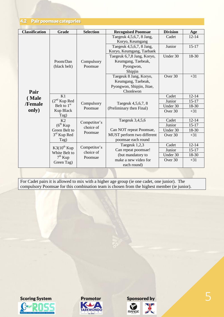4.2 Pair poomsae categories

| <b>Classification</b>             | Grade                                                                     | <b>Selection</b>                     | <b>Recognised Poomsae</b>                                                                        | <b>Division</b>                        | Age                                      |
|-----------------------------------|---------------------------------------------------------------------------|--------------------------------------|--------------------------------------------------------------------------------------------------|----------------------------------------|------------------------------------------|
| Pair<br>(Male<br>/Female<br>only) | Poom/Dan<br>(black belt)                                                  | Compulsory<br>Poomsae                | Taegeuk 4,5,6,7, 8 Jang,<br>Koryo, Keumgang                                                      | Cadet                                  | $12 - 14$                                |
|                                   |                                                                           |                                      | Taegeuk 4,5,6,7, 8 Jang,<br>Koryo, Keumgang, Taebaek                                             | Junior                                 | $15 - 17$                                |
|                                   |                                                                           |                                      | Taegeuk 6,7,8 Jang, Koryo,<br>Keumgang, Taebeak,<br>Pyongwon,<br>Shipjin                         | Under 30                               | 18-30                                    |
|                                   |                                                                           |                                      | Taegeuk 8 Jang, Koryo,<br>Keumgang, Taebeak,<br>Pyongwon, Shipjin, Jitae,<br>Chonkwon            | Over 30                                | $+31$                                    |
|                                   | K1<br>$(2nd$ Kup Red<br>Belt to $1st$<br>Kup Black<br>Tag)                | Compulsory<br>Poomsae                | Taegeuk 4,5,6,7, 8<br>(Preliminary then Final)                                                   | Cadet<br>Junior<br>Under 30<br>Over 30 | $12 - 14$<br>$15 - 17$<br>18-30<br>$+31$ |
|                                   | K <sub>2</sub><br>$(6^{th}$ Kup<br>Green Belt to<br>$3rd$ Kup Red<br>Tag) | Competitor's<br>choice of<br>Poomsae | Taegeuk 3,4,5,6<br>Can NOT repeat Poomsae,<br>MUST perform two different<br>poomsae each round   | Cadet<br>Junior<br>Under 30<br>Over 30 | $12 - 14$<br>$15 - 17$<br>18-30<br>$+31$ |
|                                   | $K3(10^{th}$ Kup<br>White Belt to<br>$7th$ Kup<br>Green Tag)              | Competitor's<br>choice of<br>Poomsae | Taegeuk 1,2,3<br>Can repeat poomsae!<br>(but mandatory to<br>make a new video for<br>each round) | Cadet<br>Junior<br>Under 30<br>Over 30 | $12 - 14$<br>$15 - 17$<br>18-30<br>$+31$ |

For Cadet pairs it is allowed to mix with a higher age group (ie one cadet, one junior). The compulsory Poomsae for this combination team is chosen from the highest member (ie junior).





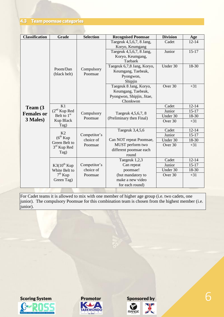| <b>Classification</b>                     | Grade                                                        | <b>Selection</b>          | <b>Recognised Poomsae</b>                                                             | <b>Division</b>                        | Age                                    |
|-------------------------------------------|--------------------------------------------------------------|---------------------------|---------------------------------------------------------------------------------------|----------------------------------------|----------------------------------------|
| Team (3)<br><b>Females or</b><br>3 Males) | Poom/Dan<br>(black belt)                                     | Compulsory<br>Poomsae     | Taegeuk 4,5,6,7, 8 Jang,<br>Koryo, Keumgang                                           | Cadet                                  | $12 - 14$                              |
|                                           |                                                              |                           | Taegeuk 4,5,6,7, 8 Jang,<br>Koryo, Keumgang,<br>Taebaek                               | Junior                                 | $15-17$                                |
|                                           |                                                              |                           | Taegeuk 6,7,8 Jang, Koryo,<br>Keumgang, Taebeak,<br>Pyongwon,<br>Shipjin              | Under 30                               | 18-30                                  |
|                                           |                                                              |                           | Taegeuk 8 Jang, Koryo,<br>Keumgang, Taebeak,<br>Pyongwon, Shipjin, Jitae,<br>Chonkwon | Over 30                                | $+31$                                  |
|                                           | K1<br>(2 <sup>nd</sup> Kup Red<br>Belt to $1st$<br>Kup Black | Compulsory<br>Poomsae     | Taegeuk 4,5,6,7, 8<br>(Preliminary then Final)                                        | Cadet<br>Junior<br>Under 30<br>Over 30 | $12 - 14$<br>$15-17$<br>18-30<br>$+31$ |
|                                           | Tag)<br>K <sub>2</sub>                                       |                           | Taegeuk 3,4,5,6                                                                       | Cadet                                  | $12 - 14$                              |
|                                           | $(6^{th}$ Kup<br>Green Belt to<br>$3rd$ Kup Red<br>Tag)      | Competitor's<br>choice of | Can NOT repeat Poomsae,                                                               | Junior<br>Under 30                     | $15-17$<br>18-30                       |
|                                           |                                                              | Poomsae                   | MUST perform two<br>different poomsae each<br>round                                   | Over 30                                | $+31$                                  |
|                                           |                                                              |                           | Taegeuk 1,2,3                                                                         | Cadet                                  | $12 - 14$                              |
|                                           | $K3(10^{th}$ Kup<br>White Belt to<br>$7th$ Kup               | Competitor's              | Can repeat                                                                            | Junior                                 | $15 - 17$                              |
|                                           |                                                              | choice of                 | poomsae!                                                                              | Under 30                               | 18-30                                  |
|                                           |                                                              | Poomsae                   | (but mandatory to                                                                     | Over 30                                | $+31$                                  |
|                                           | Green Tag)                                                   |                           | make a new video<br>for each round)                                                   |                                        |                                        |

For Cadet teams it is allowed to mix with one member of higher age group (i.e. two cadets, one junior). The compulsory Poomsae for this combination team is chosen from the highest member (i.e. junior).





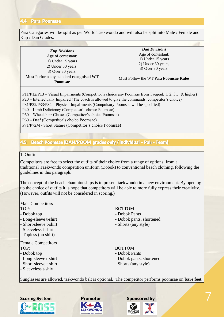#### 4.4 Para Poomsae

Para Categories will be split as per World Taekwondo and will also be split into Male / Female and Kup / Dan Grades.

*Kup Divisions* Age of contestant: 1) Under 15 years 2) Under 30 years, 3) Over 30 years, Must Perform any standard **recognised WT Poomsae**

*Dan Divisions* Age of contestant: 1) Under 15 years 2) Under 30 years, 3) Over 30 years,

#### Must Follow the WT Para **Poomsae Rules**

P11/P12/P13 – Visual Impairments (Competitor's choice any Poomsae from Taegeuk 1, 2, 3… & higher) P20 – Intellectually Impaired (The coach is allowed to give the commands, competitor's choice) P31/P32/P33/P34 – Physical Impairments (Compulsory Poomsae will be specified) P40 – Limb Deficiency (Competitor's choice Poomsae) P50 – Wheelchair Classes (Competitor's choice Poomsae) P60 – Deaf (Competitor's choice Poomsae)

P71/P72M - Short Stature (Competitor's choice Poomsae)

#### 4.5 Beach Poomsae (DAN/POOM grades only / Individual – Pair - Team)

#### 1. Outfit

Competitors are free to select the outfits of their choice from a range of options: from a traditional Taekwondo competition uniform (Dobok) to conventional beach clothing, following the guidelines in this paragraph.

The concept of the beach championships is to present taekwondo in a new environment. By opening up the choice of outfits it is hope that competitors will be able to more fully express their creativity. (However, outfits will not be considered in scoring.)

Male Competitors

- 
- 

- 
- Sleeveless t-shirt
- Topless (no shirt)

Female Competitors TOP: BOTTOM

- 
- 
- 
- Sleeveless t-shirt

#### TOP: BOTTOM

- Dobok top  **Dobok Pants**
- Long-sleeve t-shirt Dobok pants, shortened
- Short-sleeve t-shirt Shorts (any style)

- Dobok top  **Dobok Pants**
- Long-sleeve t-shirt Dobok pants, shortened
- Short-sleeve t-shirt Shorts (any style)

Sunglasses are allowed, taekwondo belt is optional. The competitor performs poomsae on **bare feet**





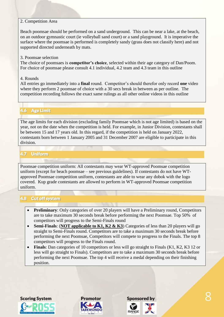#### 2. Competition Area

Beach poomsae should be performed on a sand underground. This can be near a lake, at the beach, on an outdoor gymnastic court (ie volleyball sand court) or a sand playground. It is imperative the surface where the poomsae is performed is completely sandy (grass does not classify here) and not supported directed underneath by mats.

#### 3. Poomsae selection

The choice of poomsaes is **competitor's choice**, selected within their age category of Dan/Poom. For choice of poomsae please consult 4.1 individual, 4.2 team and 4.3 team in this outline

#### 4. Rounds

All entries go immediately into a **final** round. Competitor's should therefor only record **one** video where they perform 2 poomsae of choice with a 30 secs break in between as per outline. The competition recording follows the exact same rulings as all other online videos in this outline

### 4.6 Age Limit

The age limits for each division (excluding family Poomsae which is not age limited) is based on the year, not on the date when the competition is held. For example, in Junior Division, contestants shall be between 15 and 17 years old. In this regard, if the competition is held on January 2022, contestants born between 1 January 2005 and 31 December 2007 are eligible to participate in this division.

#### 4.7 Uniform

Poomsae competition uniform: All contestants may wear WT-approved Poomsae competition uniform (except for beach poomsae – see previous guidelines). If contestants do not have WTapproved Poomsae competition uniform, contestants are able to wear any dobok with the logo covered. Kup grade contestants are allowed to perform in WT-approved Poomsae competition uniform.

#### 4.8 Cut off system

- **Preliminary**: Only categories of over 20 players will have a Preliminary round, Competitors are to take maximum 30 seconds break before performing the next Poomsae. Top 50% of competitors will progress to the Semi-Finals round
- **Semi-Finals**: (**NOT applicable to K1, K2 & K3**) Categories of less than 20 players will go straight to Semi-Finals round. Competitors are to take a maximum 30 seconds break before performing the next Poomsae, Competitors will compete to progress to the Finals. The top 8 competitors will progress to the Finals round.
- Finals: Dan categories of 10 competitors or less will go straight to Finals (K1, K2, K3 12 or less will go straight to Finals). Competitors are to take a maximum 30 seconds break before performing the next Poomsae. The top 4 will receive a medal depending on their finishing position.





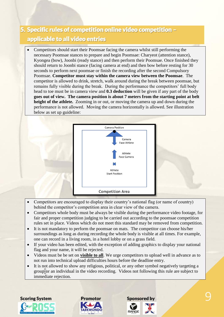## 5. Specific rules of competition online video competition – applicable to all video entries

 Competitors should start their Poomsae facing the camera whilst still performing the necessary Poomsae stances to prepare and begin Poomsae: Charyeot (attention stance), Kyongea (bow), Joonbi (ready stance) and then perform their Poomsae. Once finished they should return to Joonbi stance (facing camera at end) and then bow before resting for 30 seconds to perform next poomsae or finish the recording after the second Compulsory Poomsae. **Competitor must stay within the camera view between the Poomsae**. The competitor is allowed to drink, stretch, walk around during the break between poomsae, but remains fully visible during the break. During the performance the competitors' full body head to toe must be in camera view and **0.3 deduction** will be given if any part of the body **goes out of view. The camera position is about 7 meters from the starting point at belt height of the athlete.** Zooming in or out, or moving the camera up and down during the performance is not allowed. Moving the camera horizontally is allowed. See illustration below as set up guideline:



- Competitors are encouraged to display their country's national flag (or name of country) behind the competitor's competition area in clear view of the camera.
- Competitors whole body must be always be visible during the performance video footage, for fair and proper competition judging to be carried out according to the poomsae competition rules set in place. Videos which do not meet this standard may be removed from competition.
- It is not mandatory to perform the poomsae on mats. The competitor can choose his/her surroundings as long as during recording the whole body is visible at all times. For example, one can record in a living room, in a hotel lobby or on a grass field.
- If your video has been edited, with the exception of adding graphics to display your national flag and your name, it will be rejected.
- Videos must be be set on **visible to all**. We urge competitors to upload well in advance as to not run into technical upload difficulties hours before the deadline entry.
- It is not allowed to show any religious, political, or any other symbol negatively targeting a group or an individual in the video recording. Videos not following this rule are subject to immediate rejection.





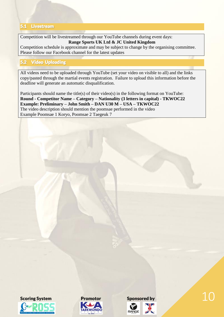#### 5.1 Livestream

Competition will be livestreamed through our YouTube channels during event days: **Range Sports UK Ltd & JC United Kingdom**

Competition schedule is approximate and may be subject to change by the organising committee. Please follow our Facebook channel for the latest updates

#### 5.2 Video Uploading

All videos need to be uploaded through YouTube (set your video on visible to all) and the links copy/pasted through the martial events registration. Failure to upload this information before the deadline will generate an automatic disqualification.

Participants should name the title(s) of their video(s) in the following format on YouTube: **Round - Competitor Name – Category – Nationality (3 letters in capital) - TKWOC22 Example: Preliminary – John Smith – DAN U30 M – USA – TKWOC22** The video description should mention the poomsae performed in the video Example Poomsae 1 Koryo, Poomsae 2 Taegeuk 7





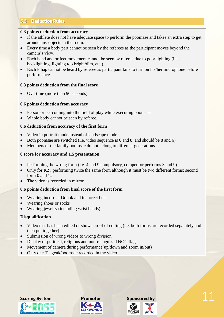#### 5.3 Deduction Rules

#### **0.3 points deduction from accuracy**

- If the athlete does not have adequate space to perform the poomsae and takes an extra step to get around any objects in the room.
- Every time a body part cannot be seen by the referees as the participant moves beyond the camera's view.
- Each hand and or feet movement cannot be seen by referee due to poor lighting (i.e., backlighting, lighting too bright/dim, etc.).
- Each kihap cannot be heard by referee as participant fails to turn on his/her microphone before performance.

#### **0.3 points deduction from the final score**

Overtime (more than 90 seconds)

#### **0.6 points deduction from accuracy**

- Person or pet coming into the field of play while executing poomsae.
- Whole body cannot be seen by referee.

#### **0.6 deduction from accuracy of the first form**

- Video in portrait mode instead of landscape mode
- Both poomsae are switched (i.e. video sequence is 6 and 8, and should be 8 and 6)
- Members of the family poomsae do not belong to different generations

#### **0 score for accuracy and 1.5 presentation**

- Performing the wrong form (i.e. 4 and 9 compulsory, competitor performs 3 and 9)
- Only for K2 : performing twice the same form although it must be two different forms: second form 0 and 1.5
- The video is recorded in mirror

#### **0.6 points deduction from final score of the first form**

- Wearing incorrect Dobok and incorrect belt
- Wearing shoes or socks
- Wearing jewelry (including wrist bands)

#### **Disqualification**

- Video that has been edited or shows proof of editing (i.e. both forms are recorded separately and then put together)
- Submission of wrong videos to wrong division.
- Display of political, religious and non-recognized NOC flags.
- Movement of camera during performance(up/down and zoom in/out)
- Only one Taegeuk/poomsae recorded in the video





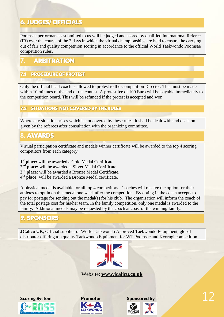### 6. JUDGES/ OFFICIALS

Poomsae performances submitted to us will be judged and scored by qualified International Referee  $\langle$ (IR) over the course of the 3 days in which the virtual championships are held to ensure the carrying out of fair and quality competition scoring in accordance to the official World Taekwondo Poomsae competition rules.

### **ARBITRATION**

### PROCEDURE OF PROTEST

Only the official head coach is allowed to protest to the Competition Director. This must be made within 10 minutes of the end of the contest. A protest fee of 100 Euro will be payable immediately to the competition board. This will be refunded if the protest is accepted and won

### SITUATIONS NOT COVERED BY THE RULES

Where any situation arises which is not covered by these rules, it shall be dealt with and decision given by the referees after consultation with the organizing committee.

### 8. AWARDS

Virtual participation certificate and medals winner certificate will be awarded to the top 4 scoring competitors from each category.

**1 st place:** will be awarded a Gold Medal Certificate.

- 2<sup>nd</sup> place: will be awarded a Silver Medal Certificate.
- **3 rd place:** will be awarded a Bronze Medal Certificate.
- **4 th place:** will be awarded a Bronze Medal certificate.

A physical medal is available for all top 4 competitors. Coaches will receive the option for their athletes to opt in on this medal one week after the competition. By opting in the coach accepts to pay for postage for sending out the medal(s) for his club. The organisation will inform the coach of the total postage cost for his/her team. In the family competition, only one medal is awarded to the family. Additional medals may be requested by the coach at coast of the winning family.

### 9. SPONSORS

**JCalicu UK**, Official supplier of World Taekwondo Approved Taekwondo Equipment, global distributor offering top quality Taekwondo Equipment for WT Poomsae and Kyorugi competition.



Website: **[www.jcalicu.co.uk](http://www.jcalicu.co.uk/)**